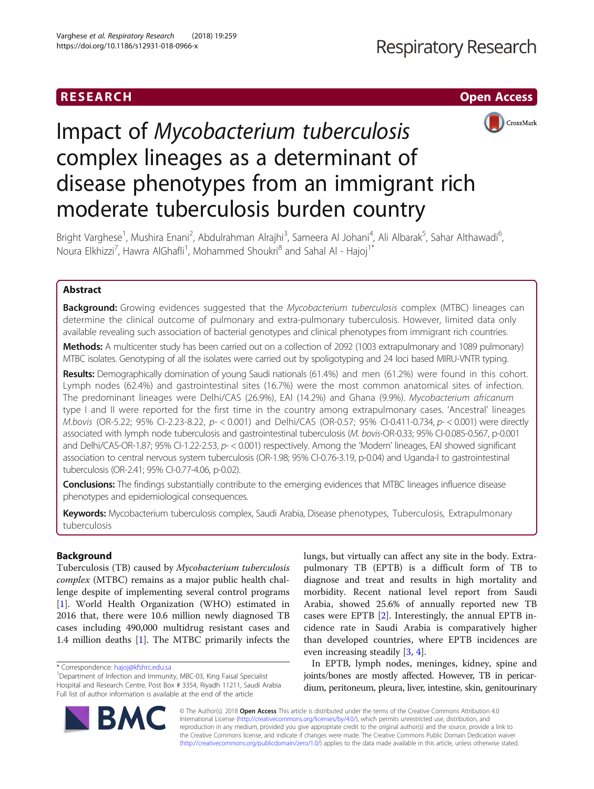## RESEARCH **CHE Open Access**



# Impact of Mycobacterium tuberculosis complex lineages as a determinant of disease phenotypes from an immigrant rich moderate tuberculosis burden country

Bright Varghese<sup>1</sup>, Mushira Enani<sup>2</sup>, Abdulrahman Alrajhi<sup>3</sup>, Sameera Al Johani<sup>4</sup>, Ali Albarak<sup>5</sup>, Sahar Althawadi<sup>6</sup> , Noura Elkhizzi<sup>7</sup>, Hawra AlGhafli<sup>1</sup>, Mohammed Shoukri<sup>8</sup> and Sahal Al - Hajoj<sup>1\*</sup>

### Abstract

**Background:** Growing evidences suggested that the Mycobacterium tuberculosis complex (MTBC) lineages can determine the clinical outcome of pulmonary and extra-pulmonary tuberculosis. However, limited data only available revealing such association of bacterial genotypes and clinical phenotypes from immigrant rich countries.

Methods: A multicenter study has been carried out on a collection of 2092 (1003 extrapulmonary and 1089 pulmonary) MTBC isolates. Genotyping of all the isolates were carried out by spoligotyping and 24 loci based MIRU-VNTR typing.

Results: Demographically domination of young Saudi nationals (61.4%) and men (61.2%) were found in this cohort. Lymph nodes (62.4%) and gastrointestinal sites (16.7%) were the most common anatomical sites of infection. The predominant lineages were Delhi/CAS (26.9%), EAI (14.2%) and Ghana (9.9%). Mycobacterium africanum type I and II were reported for the first time in the country among extrapulmonary cases. 'Ancestral' lineages M.bovis (OR-5.22; 95% CI-2.23-8.22, p- < 0.001) and Delhi/CAS (OR-0.57; 95% CI-0.411-0.734, p- < 0.001) were directly associated with lymph node tuberculosis and gastrointestinal tuberculosis (M. bovis-OR-0.33; 95% CI-0.085-0.567, p-0.001 and Delhi/CAS-OR-1.87; 95% CI-1.22-2.53, p- < 0.001) respectively. Among the 'Modern' lineages, EAI showed significant association to central nervous system tuberculosis (OR-1.98; 95% CI-0.76-3.19, p-0.04) and Uganda-I to gastrointestinal tuberculosis (OR-2.41; 95% CI-0.77-4.06, p-0.02).

Conclusions: The findings substantially contribute to the emerging evidences that MTBC lineages influence disease phenotypes and epidemiological consequences.

Keywords: Mycobacterium tuberculosis complex, Saudi Arabia, Disease phenotypes, Tuberculosis, Extrapulmonary tuberculosis

### Background

Tuberculosis (TB) caused by Mycobacterium tuberculosis complex (MTBC) remains as a major public health challenge despite of implementing several control programs [[1\]](#page-7-0). World Health Organization (WHO) estimated in 2016 that, there were 10.6 million newly diagnosed TB cases including 490,000 multidrug resistant cases and 1.4 million deaths [\[1\]](#page-7-0). The MTBC primarily infects the

lungs, but virtually can affect any site in the body. Extrapulmonary TB (EPTB) is a difficult form of TB to diagnose and treat and results in high mortality and morbidity. Recent national level report from Saudi Arabia, showed 25.6% of annually reported new TB cases were EPTB [\[2](#page-7-0)]. Interestingly, the annual EPTB incidence rate in Saudi Arabia is comparatively higher than developed countries, where EPTB incidences are even increasing steadily [\[3](#page-7-0), [4](#page-7-0)].

In EPTB, lymph nodes, meninges, kidney, spine and joints/bones are mostly affected. However, TB in pericardium, peritoneum, pleura, liver, intestine, skin, genitourinary

© The Author(s). 2018 Open Access This article is distributed under the terms of the Creative Commons Attribution 4.0 International License [\(http://creativecommons.org/licenses/by/4.0/](http://creativecommons.org/licenses/by/4.0/)), which permits unrestricted use, distribution, and reproduction in any medium, provided you give appropriate credit to the original author(s) and the source, provide a link to the Creative Commons license, and indicate if changes were made. The Creative Commons Public Domain Dedication waiver [\(http://creativecommons.org/publicdomain/zero/1.0/](http://creativecommons.org/publicdomain/zero/1.0/)) applies to the data made available in this article, unless otherwise stated.



<sup>\*</sup> Correspondence: [hajoj@kfshrc.edu.sa](mailto:hajoj@kfshrc.edu.sa) <sup>1</sup>

<sup>&</sup>lt;sup>1</sup>Department of Infection and Immunity, MBC-03, King Faisal Specialist Hospital and Research Centre, Post Box # 3354, Riyadh 11211, Saudi Arabia Full list of author information is available at the end of the article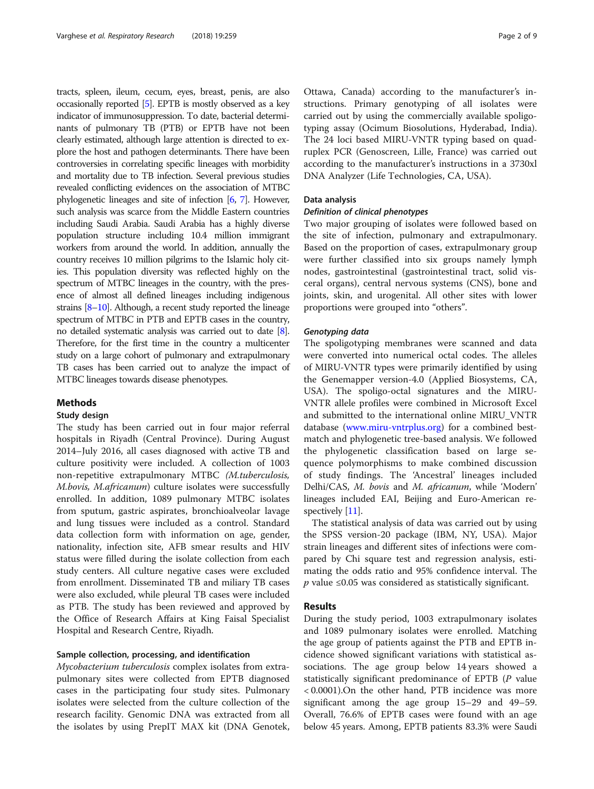tracts, spleen, ileum, cecum, eyes, breast, penis, are also occasionally reported [\[5\]](#page-7-0). EPTB is mostly observed as a key indicator of immunosuppression. To date, bacterial determinants of pulmonary TB (PTB) or EPTB have not been clearly estimated, although large attention is directed to explore the host and pathogen determinants. There have been controversies in correlating specific lineages with morbidity and mortality due to TB infection. Several previous studies revealed conflicting evidences on the association of MTBC phylogenetic lineages and site of infection [\[6](#page-7-0), [7](#page-7-0)]. However, such analysis was scarce from the Middle Eastern countries including Saudi Arabia. Saudi Arabia has a highly diverse population structure including 10.4 million immigrant workers from around the world. In addition, annually the country receives 10 million pilgrims to the Islamic holy cities. This population diversity was reflected highly on the spectrum of MTBC lineages in the country, with the presence of almost all defined lineages including indigenous strains [\[8](#page-7-0)–[10](#page-7-0)]. Although, a recent study reported the lineage spectrum of MTBC in PTB and EPTB cases in the country, no detailed systematic analysis was carried out to date [[8](#page-7-0)]. Therefore, for the first time in the country a multicenter study on a large cohort of pulmonary and extrapulmonary TB cases has been carried out to analyze the impact of MTBC lineages towards disease phenotypes.

### Methods

### Study design

The study has been carried out in four major referral hospitals in Riyadh (Central Province). During August 2014–July 2016, all cases diagnosed with active TB and culture positivity were included. A collection of 1003 non-repetitive extrapulmonary MTBC (M.tuberculosis, M.bovis, M.africanum) culture isolates were successfully enrolled. In addition, 1089 pulmonary MTBC isolates from sputum, gastric aspirates, bronchioalveolar lavage and lung tissues were included as a control. Standard data collection form with information on age, gender, nationality, infection site, AFB smear results and HIV status were filled during the isolate collection from each study centers. All culture negative cases were excluded from enrollment. Disseminated TB and miliary TB cases were also excluded, while pleural TB cases were included as PTB. The study has been reviewed and approved by the Office of Research Affairs at King Faisal Specialist Hospital and Research Centre, Riyadh.

### Sample collection, processing, and identification

Mycobacterium tuberculosis complex isolates from extrapulmonary sites were collected from EPTB diagnosed cases in the participating four study sites. Pulmonary isolates were selected from the culture collection of the research facility. Genomic DNA was extracted from all the isolates by using PrepIT MAX kit (DNA Genotek,

Ottawa, Canada) according to the manufacturer's instructions. Primary genotyping of all isolates were carried out by using the commercially available spoligotyping assay (Ocimum Biosolutions, Hyderabad, India). The 24 loci based MIRU-VNTR typing based on quadruplex PCR (Genoscreen, Lille, France) was carried out according to the manufacturer's instructions in a 3730xl DNA Analyzer (Life Technologies, CA, USA).

### Data analysis

### Definition of clinical phenotypes

Two major grouping of isolates were followed based on the site of infection, pulmonary and extrapulmonary. Based on the proportion of cases, extrapulmonary group were further classified into six groups namely lymph nodes, gastrointestinal (gastrointestinal tract, solid visceral organs), central nervous systems (CNS), bone and joints, skin, and urogenital. All other sites with lower proportions were grouped into "others".

### Genotyping data

The spoligotyping membranes were scanned and data were converted into numerical octal codes. The alleles of MIRU-VNTR types were primarily identified by using the Genemapper version-4.0 (Applied Biosystems, CA, USA). The spoligo-octal signatures and the MIRU-VNTR allele profiles were combined in Microsoft Excel and submitted to the international online MIRU\_VNTR database [\(www.miru-vntrplus.org](http://www.miru-vntrplus.org)) for a combined bestmatch and phylogenetic tree-based analysis. We followed the phylogenetic classification based on large sequence polymorphisms to make combined discussion of study findings. The 'Ancestral' lineages included Delhi/CAS, M. bovis and M. africanum, while 'Modern' lineages included EAI, Beijing and Euro-American re-spectively [\[11\]](#page-7-0).

The statistical analysis of data was carried out by using the SPSS version-20 package (IBM, NY, USA). Major strain lineages and different sites of infections were compared by Chi square test and regression analysis, estimating the odds ratio and 95% confidence interval. The  *value ≤0.05 was considered as statistically significant.* 

#### Results

During the study period, 1003 extrapulmonary isolates and 1089 pulmonary isolates were enrolled. Matching the age group of patients against the PTB and EPTB incidence showed significant variations with statistical associations. The age group below 14 years showed a statistically significant predominance of EPTB (P value < 0.0001).On the other hand, PTB incidence was more significant among the age group 15–29 and 49–59. Overall, 76.6% of EPTB cases were found with an age below 45 years. Among, EPTB patients 83.3% were Saudi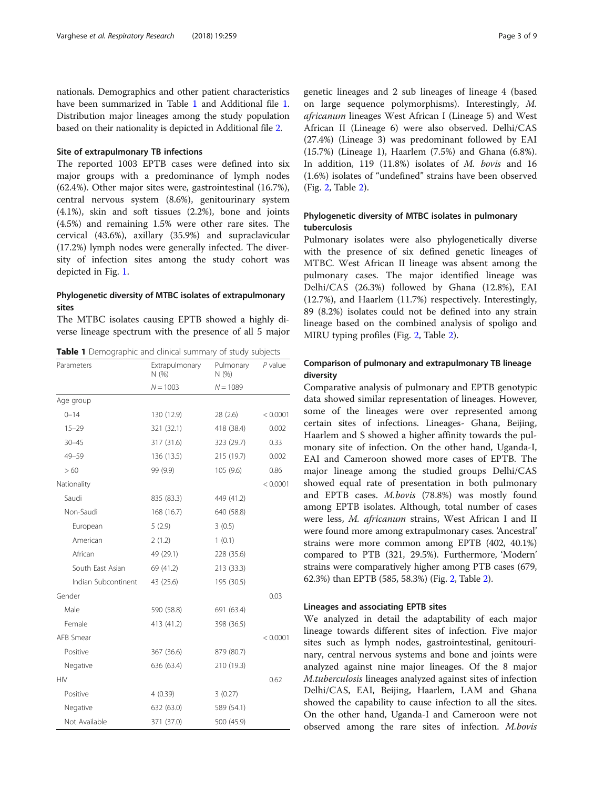nationals. Demographics and other patient characteristics have been summarized in Table 1 and Additional file [1](#page-7-0). Distribution major lineages among the study population based on their nationality is depicted in Additional file [2](#page-7-0).

#### Site of extrapulmonary TB infections

The reported 1003 EPTB cases were defined into six major groups with a predominance of lymph nodes (62.4%). Other major sites were, gastrointestinal (16.7%), central nervous system (8.6%), genitourinary system (4.1%), skin and soft tissues (2.2%), bone and joints (4.5%) and remaining 1.5% were other rare sites. The cervical (43.6%), axillary (35.9%) and supraclavicular (17.2%) lymph nodes were generally infected. The diversity of infection sites among the study cohort was depicted in Fig. [1.](#page-3-0)

### Phylogenetic diversity of MTBC isolates of extrapulmonary sites

The MTBC isolates causing EPTB showed a highly diverse lineage spectrum with the presence of all 5 major

Table 1 Demographic and clinical summary of study subjects

| Parameters          | Extrapulmonary<br>N(% ) | Pulmonary<br>N(%) | P value  |
|---------------------|-------------------------|-------------------|----------|
|                     | $N = 1003$              | $N = 1089$        |          |
| Age group           |                         |                   |          |
| $0 - 14$            | 130 (12.9)              | 28(2.6)           | < 0.0001 |
| $15 - 29$           | 321 (32.1)              | 418 (38.4)        | 0.002    |
| $30 - 45$           | 317 (31.6)              | 323 (29.7)        | 0.33     |
| 49-59               | 136 (13.5)              | 215 (19.7)        | 0.002    |
| >60                 | 99 (9.9)                | 105 (9.6)         | 0.86     |
| Nationality         |                         |                   | < 0.0001 |
| Saudi               | 835 (83.3)              | 449 (41.2)        |          |
| Non-Saudi           | 168 (16.7)              | 640 (58.8)        |          |
| European            | 5(2.9)                  | 3(0.5)            |          |
| American            | 2(1.2)                  | 1(0.1)            |          |
| African             | 49 (29.1)               | 228 (35.6)        |          |
| South East Asian    | 69 (41.2)               | 213 (33.3)        |          |
| Indian Subcontinent | 43 (25.6)               | 195 (30.5)        |          |
| Gender              |                         |                   | 0.03     |
| Male                | 590 (58.8)              | 691 (63.4)        |          |
| Female              | 413 (41.2)              | 398 (36.5)        |          |
| AFB Smear           |                         |                   | < 0.0001 |
| Positive            | 367 (36.6)              | 879 (80.7)        |          |
| Negative            | 636 (63.4)              | 210 (19.3)        |          |
| <b>HIV</b>          |                         |                   | 0.62     |
| Positive            | 4(0.39)                 | 3(0.27)           |          |
| Negative            | 632 (63.0)              | 589 (54.1)        |          |
| Not Available       | 371 (37.0)              | 500 (45.9)        |          |

genetic lineages and 2 sub lineages of lineage 4 (based on large sequence polymorphisms). Interestingly, M. africanum lineages West African I (Lineage 5) and West African II (Lineage 6) were also observed. Delhi/CAS (27.4%) (Lineage 3) was predominant followed by EAI (15.7%) (Lineage 1), Haarlem (7.5%) and Ghana (6.8%). In addition, 119 (11.8%) isolates of M. bovis and 16 (1.6%) isolates of "undefined" strains have been observed (Fig. [2](#page-4-0), Table [2\)](#page-5-0).

### Phylogenetic diversity of MTBC isolates in pulmonary tuberculosis

Pulmonary isolates were also phylogenetically diverse with the presence of six defined genetic lineages of MTBC. West African II lineage was absent among the pulmonary cases. The major identified lineage was Delhi/CAS (26.3%) followed by Ghana (12.8%), EAI (12.7%), and Haarlem (11.7%) respectively. Interestingly, 89 (8.2%) isolates could not be defined into any strain lineage based on the combined analysis of spoligo and MIRU typing profiles (Fig. [2](#page-4-0), Table [2\)](#page-5-0).

### Comparison of pulmonary and extrapulmonary TB lineage diversity

Comparative analysis of pulmonary and EPTB genotypic data showed similar representation of lineages. However, some of the lineages were over represented among certain sites of infections. Lineages- Ghana, Beijing, Haarlem and S showed a higher affinity towards the pulmonary site of infection. On the other hand, Uganda-I, EAI and Cameroon showed more cases of EPTB. The major lineage among the studied groups Delhi/CAS showed equal rate of presentation in both pulmonary and EPTB cases. M.bovis (78.8%) was mostly found among EPTB isolates. Although, total number of cases were less, M. africanum strains, West African I and II were found more among extrapulmonary cases. 'Ancestral' strains were more common among EPTB (402, 40.1%) compared to PTB (321, 29.5%). Furthermore, 'Modern' strains were comparatively higher among PTB cases (679, 62.3%) than EPTB (585, 58.3%) (Fig. [2](#page-4-0), Table [2](#page-5-0)).

#### Lineages and associating EPTB sites

We analyzed in detail the adaptability of each major lineage towards different sites of infection. Five major sites such as lymph nodes, gastrointestinal, genitourinary, central nervous systems and bone and joints were analyzed against nine major lineages. Of the 8 major M.tuberculosis lineages analyzed against sites of infection Delhi/CAS, EAI, Beijing, Haarlem, LAM and Ghana showed the capability to cause infection to all the sites. On the other hand, Uganda-I and Cameroon were not observed among the rare sites of infection. M.bovis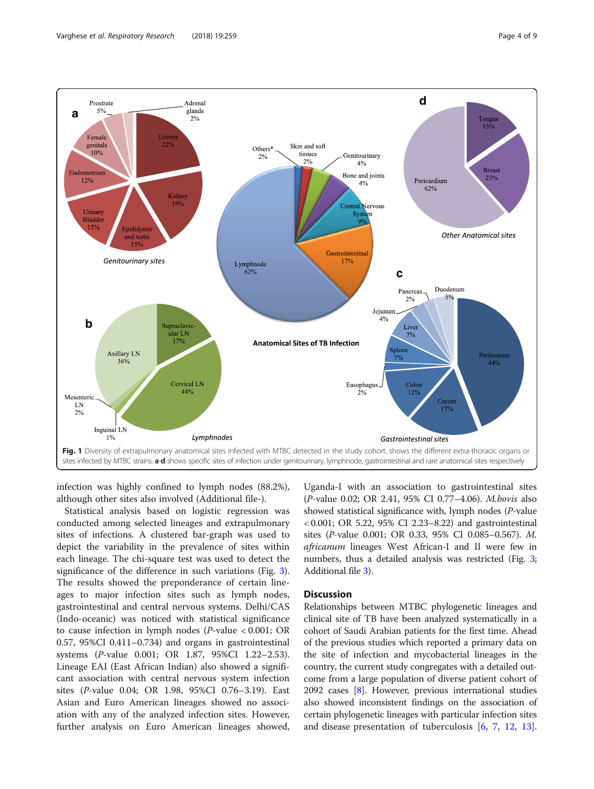<span id="page-3-0"></span>

infection was highly confined to lymph nodes (88.2%), although other sites also involved (Additional file-).

Statistical analysis based on logistic regression was conducted among selected lineages and extrapulmonary sites of infections. A clustered bar-graph was used to depict the variability in the prevalence of sites within each lineage. The chi-square test was used to detect the significance of the difference in such variations (Fig. [3](#page-6-0)). The results showed the preponderance of certain lineages to major infection sites such as lymph nodes, gastrointestinal and central nervous systems. Delhi/CAS (Indo-oceanic) was noticed with statistical significance to cause infection in lymph nodes (P-value < 0.001; OR 0.57, 95%CI 0.411–0.734) and organs in gastrointestinal systems (P-value 0.001; OR 1.87, 95%CI 1.22–2.53). Lineage EAI (East African Indian) also showed a significant association with central nervous system infection sites (P-value 0.04; OR 1.98, 95%CI 0.76–3.19). East Asian and Euro American lineages showed no association with any of the analyzed infection sites. However, further analysis on Euro American lineages showed,

Uganda-I with an association to gastrointestinal sites (P-value 0.02; OR 2.41, 95% CI 0.77–4.06). M.bovis also showed statistical significance with, lymph nodes (P-value < 0.001; OR 5.22, 95% CI 2.23–8.22) and gastrointestinal sites (P-value 0.001; OR 0.33, 95% CI 0.085–0.567). M. africanum lineages West African-I and II were few in numbers, thus a detailed analysis was restricted (Fig. [3](#page-6-0); Additional file [3](#page-7-0)).

### **Discussion**

Relationships between MTBC phylogenetic lineages and clinical site of TB have been analyzed systematically in a cohort of Saudi Arabian patients for the first time. Ahead of the previous studies which reported a primary data on the site of infection and mycobacterial lineages in the country, the current study congregates with a detailed outcome from a large population of diverse patient cohort of 2092 cases [[8\]](#page-7-0). However, previous international studies also showed inconsistent findings on the association of certain phylogenetic lineages with particular infection sites and disease presentation of tuberculosis [\[6](#page-7-0), [7](#page-7-0), [12](#page-7-0), [13](#page-7-0)].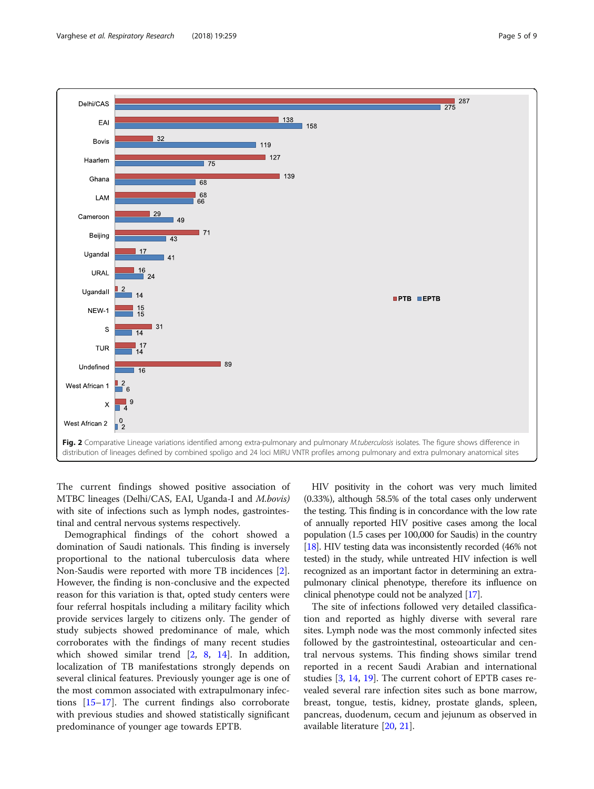<span id="page-4-0"></span>

The current findings showed positive association of MTBC lineages (Delhi/CAS, EAI, Uganda-I and M.bovis) with site of infections such as lymph nodes, gastrointestinal and central nervous systems respectively.

Demographical findings of the cohort showed a domination of Saudi nationals. This finding is inversely proportional to the national tuberculosis data where Non-Saudis were reported with more TB incidences [\[2](#page-7-0)]. However, the finding is non-conclusive and the expected reason for this variation is that, opted study centers were four referral hospitals including a military facility which provide services largely to citizens only. The gender of study subjects showed predominance of male, which corroborates with the findings of many recent studies which showed similar trend [[2,](#page-7-0) [8](#page-7-0), [14\]](#page-7-0). In addition, localization of TB manifestations strongly depends on several clinical features. Previously younger age is one of the most common associated with extrapulmonary infections [\[15](#page-7-0)–[17\]](#page-7-0). The current findings also corroborate with previous studies and showed statistically significant predominance of younger age towards EPTB.

HIV positivity in the cohort was very much limited (0.33%), although 58.5% of the total cases only underwent the testing. This finding is in concordance with the low rate of annually reported HIV positive cases among the local population (1.5 cases per 100,000 for Saudis) in the country [[18](#page-7-0)]. HIV testing data was inconsistently recorded (46% not tested) in the study, while untreated HIV infection is well recognized as an important factor in determining an extrapulmonary clinical phenotype, therefore its influence on clinical phenotype could not be analyzed [\[17\]](#page-7-0).

The site of infections followed very detailed classification and reported as highly diverse with several rare sites. Lymph node was the most commonly infected sites followed by the gastrointestinal, osteoarticular and central nervous systems. This finding shows similar trend reported in a recent Saudi Arabian and international studies [\[3](#page-7-0), [14](#page-7-0), [19](#page-7-0)]. The current cohort of EPTB cases revealed several rare infection sites such as bone marrow, breast, tongue, testis, kidney, prostate glands, spleen, pancreas, duodenum, cecum and jejunum as observed in available literature [[20,](#page-7-0) [21\]](#page-7-0).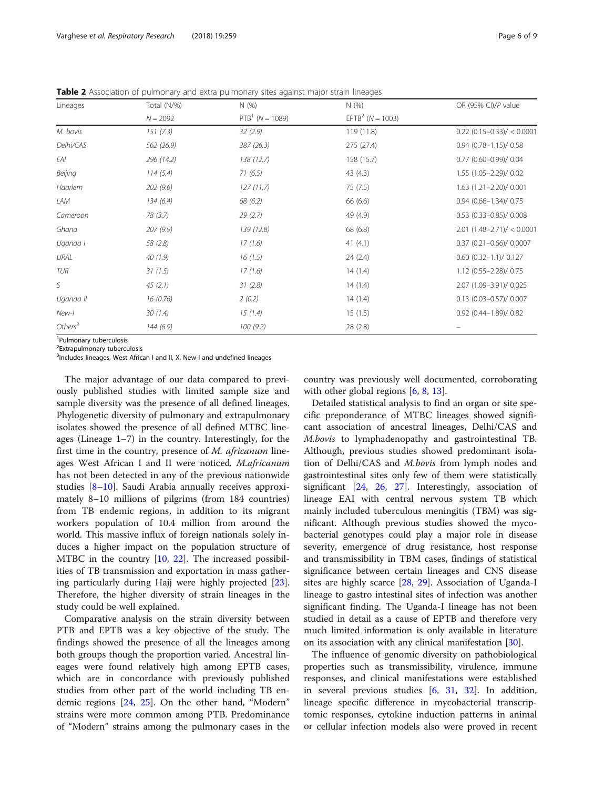| Lineages                            | Total (N/%) | N(% )                           | N(%)               | OR (95% CI)/P value            |
|-------------------------------------|-------------|---------------------------------|--------------------|--------------------------------|
|                                     | $N = 2092$  | PTB <sup>1</sup> ( $N = 1089$ ) | $EPTB2$ (N = 1003) |                                |
| M. bovis                            | 151(7.3)    | 32(2.9)                         | 119 (11.8)         | $0.22$ (0.15-0.33)/ < 0.0001   |
| Delhi/CAS                           | 562 (26.9)  | 287(26.3)                       | 275 (27.4)         | $0.94$ $(0.78 - 1.15)$ / 0.58  |
| EAI                                 | 296 (14.2)  | 138 (12.7)                      | 158 (15.7)         | $0.77$ (0.60-0.99)/ 0.04       |
| Beijing                             | 114(5.4)    | 71(6.5)                         | 43(4.3)            | 1.55 (1.05-2.29)/ 0.02         |
| Haarlem                             | 202(9.6)    | 127(11.7)                       | 75(7.5)            | $1.63$ $(1.21 - 2.20) / 0.001$ |
| LAM                                 | 134(6.4)    | 68(6.2)                         | 66 (6.6)           | $0.94$ $(0.66 - 1.34) / 0.75$  |
| Cameroon                            | 78(3.7)     | 29(2.7)                         | 49 (4.9)           | $0.53$ (0.33-0.85)/ 0.008      |
| Ghana                               | 207(9.9)    | 139 (12.8)                      | 68 (6.8)           | $2.01$ (1.48-2.71)/ < 0.0001   |
| Uganda I                            | 58 (2.8)    | 17(1.6)                         | 41(4.1)            | $0.37$ (0.21-0.66)/ 0.0007     |
| URAL                                | 40(1.9)     | 16(1.5)                         | 24(2.4)            | $0.60$ $(0.32-1.1)$ / $0.127$  |
| TUR                                 | 31(1.5)     | 17(1.6)                         | 14(1.4)            | 1.12 (0.55-2.28)/ 0.75         |
| S                                   | 45(2.1)     | 31(2.8)                         | 14(1.4)            | 2.07 (1.09-3.91)/ 0.025        |
| Uganda II                           | 16(0.76)    | 2(0.2)                          | 14(1.4)            | $0.13$ (0.03-0.57)/ 0.007      |
| New-I                               | 30(1.4)     | 15(1.4)                         | 15(1.5)            | $0.92$ (0.44-1.89)/ 0.82       |
| Others <sup>3</sup>                 | 144(6.9)    | 100(9.2)                        | 28(2.8)            |                                |
| <sup>1</sup> Pulmonary tuberculosis |             |                                 |                    |                                |

<span id="page-5-0"></span>Table 2 Association of pulmonary and extra pulmonary sites against major strain lineages

<sup>2</sup> Extrapulmonary tuberculosis

<sup>3</sup>Includes lineages, West African I and II, X, New-I and undefined lineages

The major advantage of our data compared to previously published studies with limited sample size and sample diversity was the presence of all defined lineages. Phylogenetic diversity of pulmonary and extrapulmonary isolates showed the presence of all defined MTBC lineages (Lineage 1–7) in the country. Interestingly, for the first time in the country, presence of M. africanum lineages West African I and II were noticed. M.africanum has not been detected in any of the previous nationwide studies [\[8](#page-7-0)–[10](#page-7-0)]. Saudi Arabia annually receives approximately 8–10 millions of pilgrims (from 184 countries) from TB endemic regions, in addition to its migrant workers population of 10.4 million from around the world. This massive influx of foreign nationals solely induces a higher impact on the population structure of MTBC in the country [[10](#page-7-0), [22\]](#page-8-0). The increased possibilities of TB transmission and exportation in mass gathering particularly during Hajj were highly projected [\[23](#page-8-0)]. Therefore, the higher diversity of strain lineages in the study could be well explained.

Comparative analysis on the strain diversity between PTB and EPTB was a key objective of the study. The findings showed the presence of all the lineages among both groups though the proportion varied. Ancestral lineages were found relatively high among EPTB cases, which are in concordance with previously published studies from other part of the world including TB endemic regions [[24,](#page-8-0) [25\]](#page-8-0). On the other hand, "Modern" strains were more common among PTB. Predominance of "Modern" strains among the pulmonary cases in the country was previously well documented, corroborating with other global regions [\[6](#page-7-0), [8](#page-7-0), [13](#page-7-0)].

Detailed statistical analysis to find an organ or site specific preponderance of MTBC lineages showed significant association of ancestral lineages, Delhi/CAS and M.bovis to lymphadenopathy and gastrointestinal TB. Although, previous studies showed predominant isolation of Delhi/CAS and M.bovis from lymph nodes and gastrointestinal sites only few of them were statistically significant [\[24,](#page-8-0) [26](#page-8-0), [27](#page-8-0)]. Interestingly, association of lineage EAI with central nervous system TB which mainly included tuberculous meningitis (TBM) was significant. Although previous studies showed the mycobacterial genotypes could play a major role in disease severity, emergence of drug resistance, host response and transmissibility in TBM cases, findings of statistical significance between certain lineages and CNS disease sites are highly scarce [\[28,](#page-8-0) [29\]](#page-8-0). Association of Uganda-I lineage to gastro intestinal sites of infection was another significant finding. The Uganda-I lineage has not been studied in detail as a cause of EPTB and therefore very much limited information is only available in literature on its association with any clinical manifestation [[30\]](#page-8-0).

The influence of genomic diversity on pathobiological properties such as transmissibility, virulence, immune responses, and clinical manifestations were established in several previous studies [\[6](#page-7-0), [31,](#page-8-0) [32](#page-8-0)]. In addition, lineage specific difference in mycobacterial transcriptomic responses, cytokine induction patterns in animal or cellular infection models also were proved in recent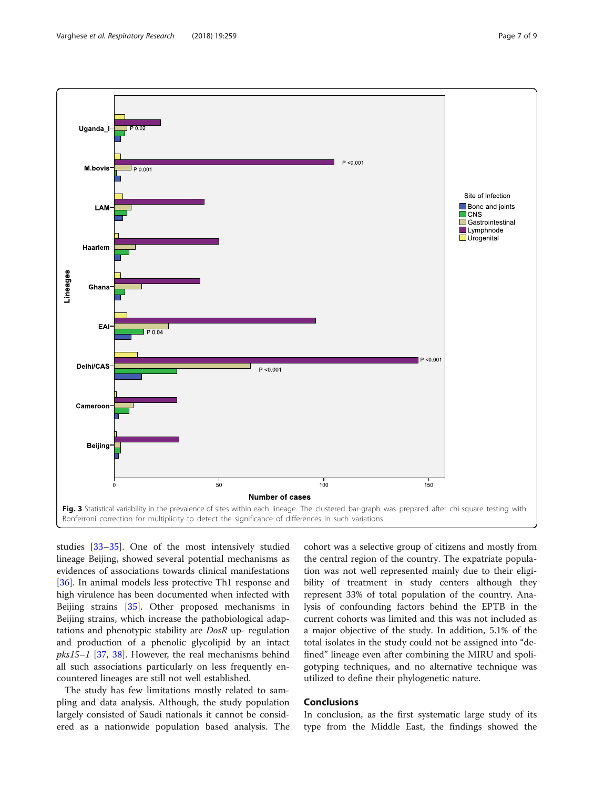<span id="page-6-0"></span>

studies [[33](#page-8-0)–[35](#page-8-0)]. One of the most intensively studied lineage Beijing, showed several potential mechanisms as evidences of associations towards clinical manifestations [[36\]](#page-8-0). In animal models less protective Th1 response and high virulence has been documented when infected with Beijing strains [[35\]](#page-8-0). Other proposed mechanisms in Beijing strains, which increase the pathobiological adaptations and phenotypic stability are DosR up- regulation and production of a phenolic glycolipid by an intact  $pks15-1$  [\[37,](#page-8-0) [38](#page-8-0)]. However, the real mechanisms behind all such associations particularly on less frequently encountered lineages are still not well established.

The study has few limitations mostly related to sampling and data analysis. Although, the study population largely consisted of Saudi nationals it cannot be considered as a nationwide population based analysis. The

cohort was a selective group of citizens and mostly from the central region of the country. The expatriate population was not well represented mainly due to their eligibility of treatment in study centers although they represent 33% of total population of the country. Analysis of confounding factors behind the EPTB in the current cohorts was limited and this was not included as a major objective of the study. In addition, 5.1% of the total isolates in the study could not be assigned into "defined" lineage even after combining the MIRU and spoligotyping techniques, and no alternative technique was utilized to define their phylogenetic nature.

### Conclusions

In conclusion, as the first systematic large study of its type from the Middle East, the findings showed the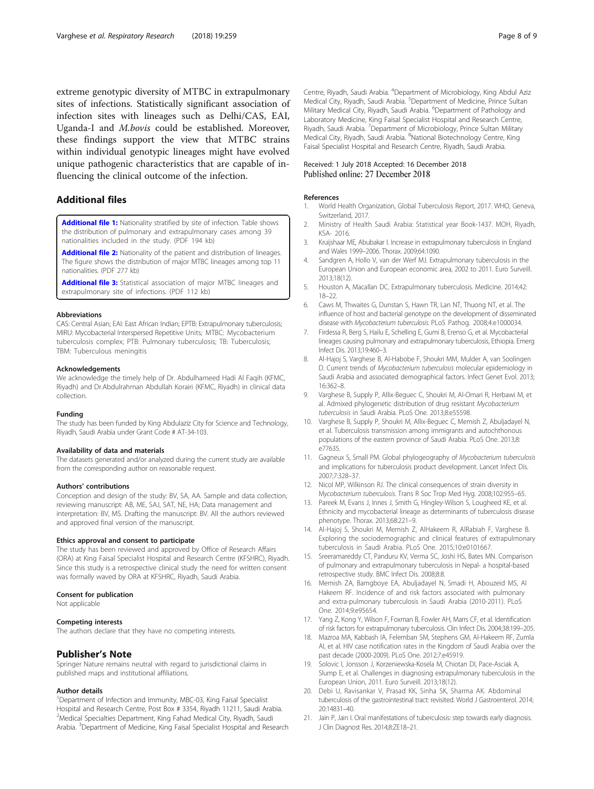<span id="page-7-0"></span>extreme genotypic diversity of MTBC in extrapulmonary sites of infections. Statistically significant association of infection sites with lineages such as Delhi/CAS, EAI, Uganda-I and M.bovis could be established. Moreover, these findings support the view that MTBC strains within individual genotypic lineages might have evolved unique pathogenic characteristics that are capable of influencing the clinical outcome of the infection.

### Additional files

[Additional file 1:](https://doi.org/10.1186/s12931-018-0966-x) Nationality stratified by site of infection. Table shows the distribution of pulmonary and extrapulmonary cases among 39 nationalities included in the study. (PDF 194 kb)

[Additional file 2:](https://doi.org/10.1186/s12931-018-0966-x) Nationality of the patient and distribution of lineages. The figure shows the distribution of major MTBC lineages among top 11 nationalities. (PDF 277 kb)

[Additional file 3:](https://doi.org/10.1186/s12931-018-0966-x) Statistical association of major MTBC lineages and extrapulmonary site of infections. (PDF 112 kb)

#### Abbreviations

CAS: Central Asian; EAI: East African Indian; EPTB: Extrapulmonary tuberculosis; MIRU: Mycobacterial Interspersed Repetitive Units; MTBC: Mycobacterium tuberculosis complex; PTB: Pulmonary tuberculosis; TB: Tuberculosis; TBM: Tuberculous meningitis

#### Acknowledgements

We acknowledge the timely help of Dr. Abdulhameed Hadi Al Faqih (KFMC, Riyadh) and Dr.Abdulrahman Abdullah Korairi (KFMC, Riyadh) in clinical data collection.

#### Funding

The study has been funded by King Abdulaziz City for Science and Technology, Riyadh, Saudi Arabia under Grant Code # AT-34-103.

#### Availability of data and materials

The datasets generated and/or analyzed during the current study are available from the corresponding author on reasonable request.

#### Authors' contributions

Conception and design of the study: BV, SA, AA. Sample and data collection, reviewing manuscript: AB, ME, SAJ, SAT, NE, HA; Data management and interpretation: BV, MS. Drafting the manuscript: BV. All the authors reviewed and approved final version of the manuscript.

#### Ethics approval and consent to participate

The study has been reviewed and approved by Office of Research Affairs (ORA) at King Faisal Specialist Hospital and Research Centre (KFSHRC), Riyadh. Since this study is a retrospective clinical study the need for written consent was formally waved by ORA at KFSHRC, Riyadh, Saudi Arabia.

#### Consent for publication

Not applicable

Competing interests The authors declare that they have no competing interests.

#### Publisher's Note

Springer Nature remains neutral with regard to jurisdictional claims in published maps and institutional affiliations.

#### Author details

<sup>1</sup>Department of Infection and Immunity, MBC-03, King Faisal Specialist Hospital and Research Centre, Post Box # 3354, Riyadh 11211, Saudi Arabia. <sup>2</sup> Medical Specialties Department, King Fahad Medical City, Riyadh, Saudi Arabia. <sup>3</sup>Department of Medicine, King Faisal Specialist Hospital and Research

Centre, Riyadh, Saudi Arabia. <sup>4</sup>Department of Microbiology, King Abdul Aziz Medical City, Riyadh, Saudi Arabia. <sup>5</sup>Department of Medicine, Prince Sultan Military Medical City, Riyadh, Saudi Arabia. <sup>6</sup>Department of Pathology and Laboratory Medicine, King Faisal Specialist Hospital and Research Centre, Riyadh, Saudi Arabia. <sup>7</sup> Department of Microbiology, Prince Sultan Military Medical City, Riyadh, Saudi Arabia. <sup>8</sup>National Biotechnology Centre, King Faisal Specialist Hospital and Research Centre, Riyadh, Saudi Arabia.

# Received: 1 July 2018 Accepted: 16 December 2018<br>Published online: 27 December 2018

#### References

- 1. World Health Organization, Global Tuberculosis Report, 2017. WHO, Geneva, Switzerland, 2017.
- 2. Ministry of Health Saudi Arabia: Statistical year Book-1437. MOH, Riyadh, KSA- 2016.
- 3. Kruijshaar ME, Abubakar I. Increase in extrapulmonary tuberculosis in England and Wales 1999–2006. Thorax. 2009;64:1090.
- Sandgren A, Hollo V, van der Werf MJ. Extrapulmonary tuberculosis in the European Union and European economic area, 2002 to 2011. Euro Surveill. 2013;18(12).
- 5. Houston A, Macallan DC. Extrapulmonary tuberculosis. Medicine. 2014;42: 18–22.
- 6. Caws M, Thwaites G, Dunstan S, Hawn TR, Lan NT, Thuong NT, et al. The influence of host and bacterial genotype on the development of disseminated disease with Mycobacterium tuberculosis. PLoS Pathog. 2008;4:e1000034.
- 7. Firdessa R, Berg S, Hailu E, Schelling E, Gumi B, Erenso G, et al. Mycobacterial lineages causing pulmonary and extrapulmonary tuberculosis, Ethiopia. Emerg Infect Dis. 2013;19:460–3.
- 8. Al-Hajoj S, Varghese B, Al-Habobe F, Shoukri MM, Mulder A, van Soolingen D. Current trends of Mycobacterium tuberculosis molecular epidemiology in Saudi Arabia and associated demographical factors. Infect Genet Evol. 2013; 16:362–8.
- 9. Varghese B, Supply P, Allix-Beguec C, Shoukri M, Al-Omari R, Herbawi M, et al. Admixed phylogenetic distribution of drug resistant Mycobacterium tuberculosis in Saudi Arabia. PLoS One. 2013;8:e55598.
- 10. Varghese B, Supply P, Shoukri M, Allix-Beguec C, Memish Z, Abuljadayel N, et al. Tuberculosis transmission among immigrants and autochthonous populations of the eastern province of Saudi Arabia. PLoS One. 2013;8: e77635.
- 11. Gagneux S, Small PM. Global phylogeography of Mycobacterium tuberculosis and implications for tuberculosis product development. Lancet Infect Dis. 2007;7:328–37.
- 12. Nicol MP, Wilkinson RJ. The clinical consequences of strain diversity in Mycobacterium tuberculosis. Trans R Soc Trop Med Hyg. 2008;102:955–65.
- 13. Pareek M, Evans J, Innes J, Smith G, Hingley-Wilson S, Lougheed KE, et al. Ethnicity and mycobacterial lineage as determinants of tuberculosis disease phenotype. Thorax. 2013;68:221–9.
- 14. Al-Hajoj S, Shoukri M, Memish Z, AlHakeem R, AlRabiah F, Varghese B. Exploring the sociodemographic and clinical features of extrapulmonary tuberculosis in Saudi Arabia. PLoS One. 2015;10:e0101667.
- 15. Sreeramareddy CT, Panduru KV, Verma SC, Joshi HS, Bates MN. Comparison of pulmonary and extrapulmonary tuberculosis in Nepal- a hospital-based retrospective study. BMC Infect Dis. 2008;8:8.
- 16. Memish ZA, Bamgboye EA, Abuljadayel N, Smadi H, Abouzeid MS, Al Hakeem RF. Incidence of and risk factors associated with pulmonary and extra-pulmonary tuberculosis in Saudi Arabia (2010-2011). PLoS One. 2014;9:e95654.
- 17. Yang Z, Kong Y, Wilson F, Foxman B, Fowler AH, Marrs CF, et al. Identification of risk factors for extrapulmonary tuberculosis. Clin Infect Dis. 2004;38:199–205.
- 18. Mazroa MA, Kabbash IA, Felemban SM, Stephens GM, Al-Hakeem RF, Zumla AI, et al. HIV case notification rates in the Kingdom of Saudi Arabia over the past decade (2000-2009). PLoS One. 2012;7:e45919.
- 19. Solovic I, Jonsson J, Korzeniewska-Kosela M, Chiotan DI, Pace-Asciak A, Slump E, et al. Challenges in diagnosing extrapulmonary tuberculosis in the European Union, 2011. Euro Surveill. 2013;18(12).
- 20. Debi U, Ravisankar V, Prasad KK, Sinha SK, Sharma AK. Abdominal tuberculosis of the gastrointestinal tract: revisited. World J Gastroenterol. 2014; 20:14831–40.
- 21. Jain P, Jain I. Oral manifestations of tuberculosis: step towards early diagnosis. J Clin Diagnost Res. 2014;8:ZE18–21.